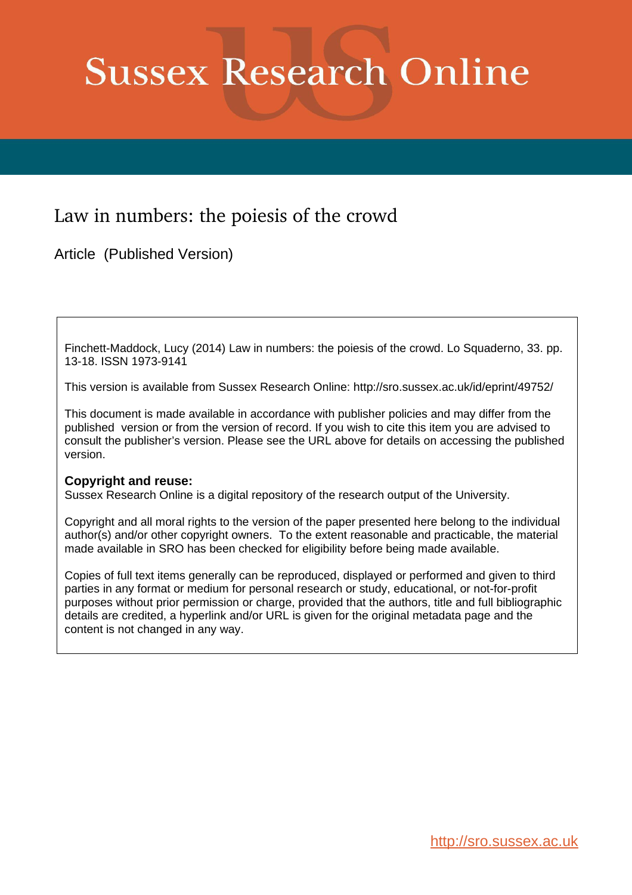## **Sussex Research Online**

### Law in numbers: the poiesis of the crowd

Article (Published Version)

Finchett-Maddock, Lucy (2014) Law in numbers: the poiesis of the crowd. Lo Squaderno, 33. pp. 13-18. ISSN 1973-9141

This version is available from Sussex Research Online: http://sro.sussex.ac.uk/id/eprint/49752/

This document is made available in accordance with publisher policies and may differ from the published version or from the version of record. If you wish to cite this item you are advised to consult the publisher's version. Please see the URL above for details on accessing the published version.

### **Copyright and reuse:**

Sussex Research Online is a digital repository of the research output of the University.

Copyright and all moral rights to the version of the paper presented here belong to the individual author(s) and/or other copyright owners. To the extent reasonable and practicable, the material made available in SRO has been checked for eligibility before being made available.

Copies of full text items generally can be reproduced, displayed or performed and given to third parties in any format or medium for personal research or study, educational, or not-for-profit purposes without prior permission or charge, provided that the authors, title and full bibliographic details are credited, a hyperlink and/or URL is given for the original metadata page and the content is not changed in any way.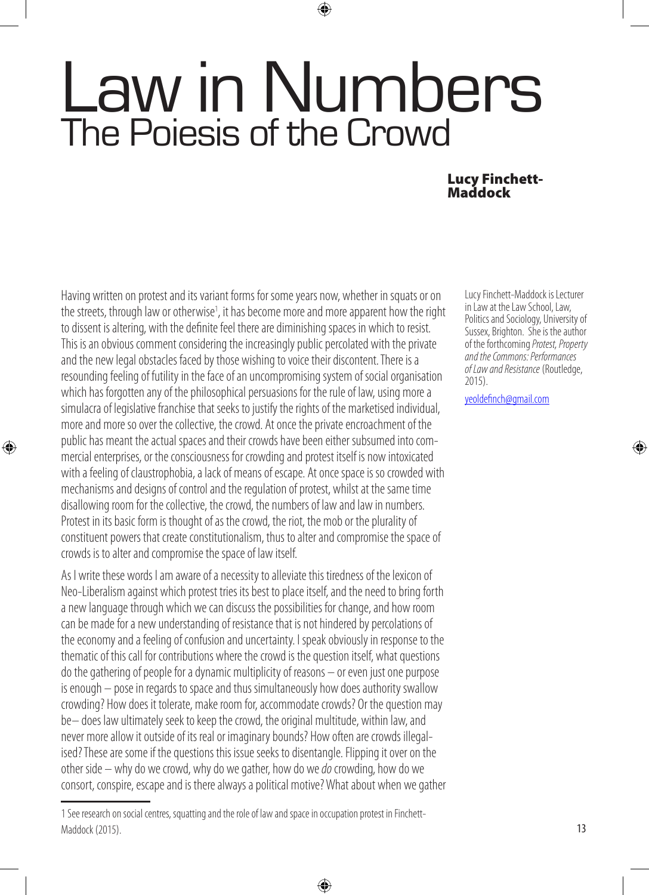# Law in Numbers The Poiesis of the Crowd

⊕

#### Lucy Finchett-Maddock

Having written on protest and its variant forms for some years now, whether in squats or on the streets, through law or otherwise<sup>1</sup>, it has become more and more apparent how the right to dissent is altering, with the definite feel there are diminishing spaces in which to resist. This is an obvious comment considering the increasingly public percolated with the private and the new legal obstacles faced by those wishing to voice their discontent. There is a resounding feeling of futility in the face of an uncompromising system of social organisation which has forgotten any of the philosophical persuasions for the rule of law, using more a simulacra of legislative franchise that seeks to justify the rights of the marketised individual, more and more so over the collective, the crowd. At once the private encroachment of the public has meant the actual spaces and their crowds have been either subsumed into commercial enterprises, or the consciousness for crowding and protest itself is now intoxicated with a feeling of claustrophobia, a lack of means of escape. At once space is so crowded with mechanisms and designs of control and the regulation of protest, whilst at the same time disallowing room for the collective, the crowd, the numbers of law and law in numbers. Protest in its basic form is thought of as the crowd, the riot, the mob or the plurality of constituent powers that create constitutionalism, thus to alter and compromise the space of crowds is to alter and compromise the space of law itself.

⊕

As I write these words I am aware of a necessity to alleviate this tiredness of the lexicon of Neo-Liberalism against which protest tries its best to place itself, and the need to bring forth a new language through which we can discuss the possibilities for change, and how room can be made for a new understanding of resistance that is not hindered by percolations of the economy and a feeling of confusion and uncertainty. I speak obviously in response to the thematic of this call for contributions where the crowd is the question itself, what questions do the gathering of people for a dynamic multiplicity of reasons – or even just one purpose is enough – pose in regards to space and thus simultaneously how does authority swallow crowding? How does it tolerate, make room for, accommodate crowds? Or the question may be– does law ultimately seek to keep the crowd, the original multitude, within law, and never more allow it outside of its real or imaginary bounds? How often are crowds illegalised? These are some if the questions this issue seeks to disentangle. Flipping it over on the other side – why do we crowd, why do we gather, how do we *do* crowding, how do we consort, conspire, escape and is there always a political motive? What about when we gather

⊕

Lucy Finchett-Maddock is Lecturer in Law at the Law School, Law, Politics and Sociology, University of Sussex, Brighton. She is the author of the forthcoming *Protest, Property and the Commons: Performances of Law and Resistance* (Routledge, 2015).

yeoldefinch@gmail.com

◈

<sup>1</sup> See research on social centres, squatting and the role of law and space in occupation protest in Finchett-Maddock (2015).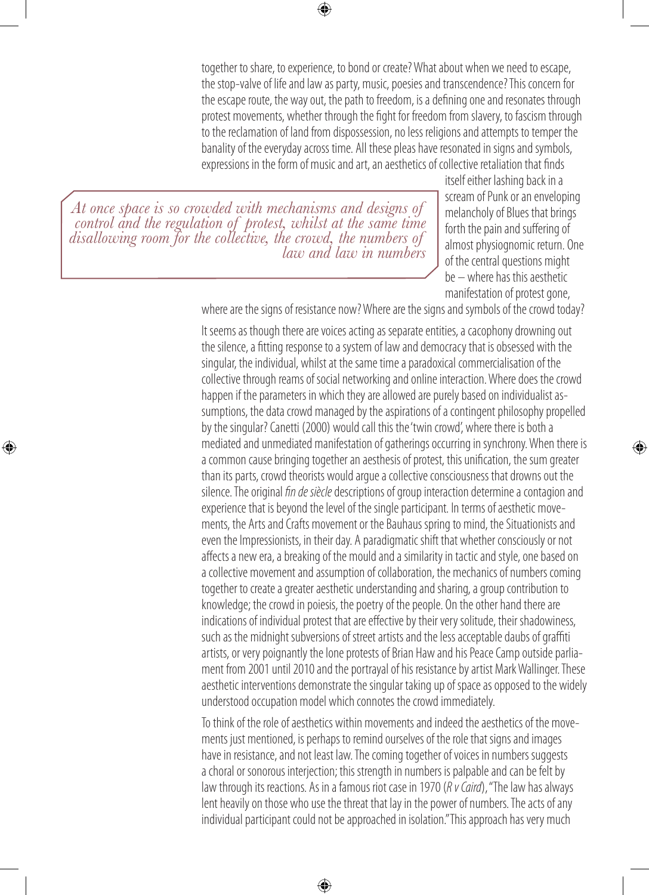⊕

together to share, to experience, to bond or create? What about when we need to escape, the stop-valve of life and law as party, music, poesies and transcendence? This concern for the escape route, the way out, the path to freedom, is a defining one and resonates through protest movements, whether through the fight for freedom from slavery, to fascism through to the reclamation of land from dispossession, no less religions and attempts to temper the banality of the everyday across time. All these pleas have resonated in signs and symbols, expressions in the form of music and art, an aesthetics of collective retaliation that finds

*At once space is so crowded with mechanisms and designs of control and the regulation of protest, whilst at the same time disallowing room for the collective, the crowd, the numbers of law and law in numbers*

◈

itself either lashing back in a scream of Punk or an enveloping melancholy of Blues that brings forth the pain and suffering of almost physiognomic return. One of the central questions might be – where has this aesthetic manifestation of protest gone,

◈

where are the signs of resistance now? Where are the signs and symbols of the crowd today?

It seems as though there are voices acting as separate entities, a cacophony drowning out the silence, a fitting response to a system of law and democracy that is obsessed with the singular, the individual, whilst at the same time a paradoxical commercialisation of the collective through reams of social networking and online interaction. Where does the crowd happen if the parameters in which they are allowed are purely based on individualist assumptions, the data crowd managed by the aspirations of a contingent philosophy propelled by the singular? Canetti (2000) would call this the 'twin crowd', where there is both a mediated and unmediated manifestation of gatherings occurring in synchrony. When there is a common cause bringing together an aesthesis of protest, this unification, the sum greater than its parts, crowd theorists would argue a collective consciousness that drowns out the silence. The original *fin de siècle* descriptions of group interaction determine a contagion and experience that is beyond the level of the single participant. In terms of aesthetic movements, the Arts and Crafts movement or the Bauhaus spring to mind, the Situationists and even the Impressionists, in their day. A paradigmatic shift that whether consciously or not affects a new era, a breaking of the mould and a similarity in tactic and style, one based on a collective movement and assumption of collaboration, the mechanics of numbers coming together to create a greater aesthetic understanding and sharing, a group contribution to knowledge; the crowd in poiesis, the poetry of the people. On the other hand there are indications of individual protest that are effective by their very solitude, their shadowiness, such as the midnight subversions of street artists and the less acceptable daubs of graffiti artists, or very poignantly the lone protests of Brian Haw and his Peace Camp outside parliament from 2001 until 2010 and the portrayal of his resistance by artist Mark Wallinger. These aesthetic interventions demonstrate the singular taking up of space as opposed to the widely understood occupation model which connotes the crowd immediately.

To think of the role of aesthetics within movements and indeed the aesthetics of the movements just mentioned, is perhaps to remind ourselves of the role that signs and images have in resistance, and not least law. The coming together of voices in numbers suggests a choral or sonorous interjection; this strength in numbers is palpable and can be felt by law through its reactions. As in a famous riot case in 1970 (*R v Caird*), "The law has always lent heavily on those who use the threat that lay in the power of numbers. The acts of any individual participant could not be approached in isolation." This approach has very much

⊕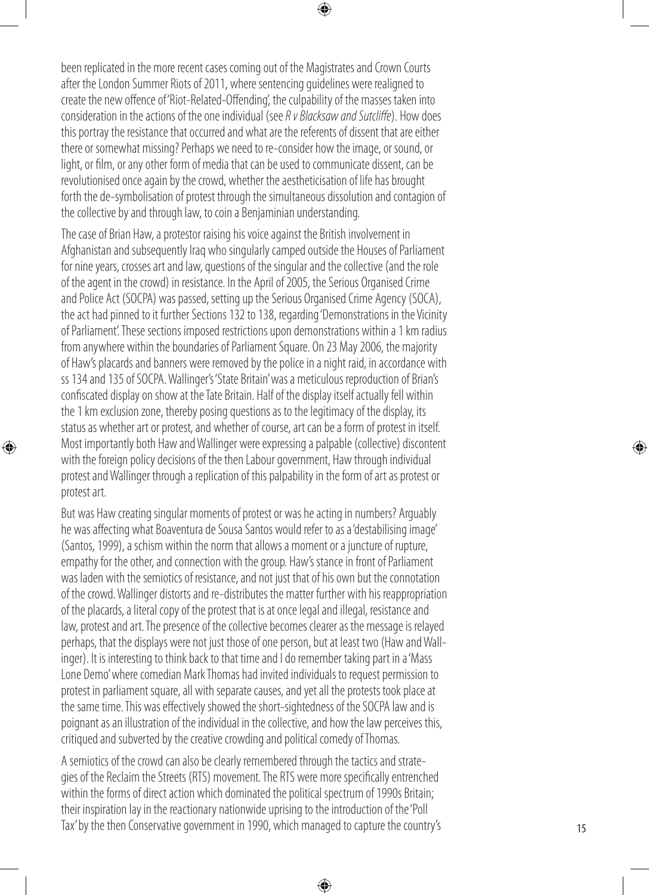been replicated in the more recent cases coming out of the Magistrates and Crown Courts after the London Summer Riots of 2011, where sentencing guidelines were realigned to create the new offence of 'Riot-Related-Offending', the culpability of the masses taken into consideration in the actions of the one individual (see *R v Blacksaw and Sutcliffe*). How does this portray the resistance that occurred and what are the referents of dissent that are either there or somewhat missing? Perhaps we need to re-consider how the image, or sound, or light, or film, or any other form of media that can be used to communicate dissent, can be revolutionised once again by the crowd, whether the aestheticisation of life has brought forth the de-symbolisation of protest through the simultaneous dissolution and contagion of the collective by and through law, to coin a Benjaminian understanding.

⊕

The case of Brian Haw, a protestor raising his voice against the British involvement in Afghanistan and subsequently Iraq who singularly camped outside the Houses of Parliament for nine years, crosses art and law, questions of the singular and the collective (and the role of the agent in the crowd) in resistance. In the April of 2005, the Serious Organised Crime and Police Act (SOCPA) was passed, setting up the Serious Organised Crime Agency (SOCA), the act had pinned to it further Sections 132 to 138, regarding 'Demonstrations in the Vicinity of Parliament'. These sections imposed restrictions upon demonstrations within a 1 km radius from anywhere within the boundaries of Parliament Square. On 23 May 2006, the majority of Haw's placards and banners were removed by the police in a night raid, in accordance with ss 134 and 135 of SOCPA. Wallinger's 'State Britain' was a meticulous reproduction of Brian's confiscated display on show at the Tate Britain. Half of the display itself actually fell within the 1 km exclusion zone, thereby posing questions as to the legitimacy of the display, its status as whether art or protest, and whether of course, art can be a form of protest in itself. Most importantly both Haw and Wallinger were expressing a palpable (collective) discontent with the foreign policy decisions of the then Labour government, Haw through individual protest and Wallinger through a replication of this palpability in the form of art as protest or protest art.

◈

But was Haw creating singular moments of protest or was he acting in numbers? Arguably he was affecting what Boaventura de Sousa Santos would refer to as a 'destabilising image' (Santos, 1999), a schism within the norm that allows a moment or a juncture of rupture, empathy for the other, and connection with the group. Haw's stance in front of Parliament was laden with the semiotics of resistance, and not just that of his own but the connotation of the crowd. Wallinger distorts and re-distributes the matter further with his reappropriation of the placards, a literal copy of the protest that is at once legal and illegal, resistance and law, protest and art. The presence of the collective becomes clearer as the message is relayed perhaps, that the displays were not just those of one person, but at least two (Haw and Wall inger). It is interesting to think back to that time and I do remember taking part in a 'Mass Lone Demo' where comedian Mark Thomas had invited individuals to request permission to protest in parliament square, all with separate causes, and yet all the protests took place at the same time. This was effectively showed the short-sightedness of the SOCPA law and is poignant as an illustration of the individual in the collective, and how the law perceives this, critiqued and subverted by the creative crowding and political comedy of Thomas.

A semiotics of the crowd can also be clearly remembered through the tactics and strate gies of the Reclaim the Streets (RTS) movement. The RTS were more specifically entrenched within the forms of direct action which dominated the political spectrum of 1990s Britain; their inspiration lay in the reactionary nationwide uprising to the introduction of the 'Poll Tax' by the then Conservative government in 1990, which managed to capture the country's

⊕

◈